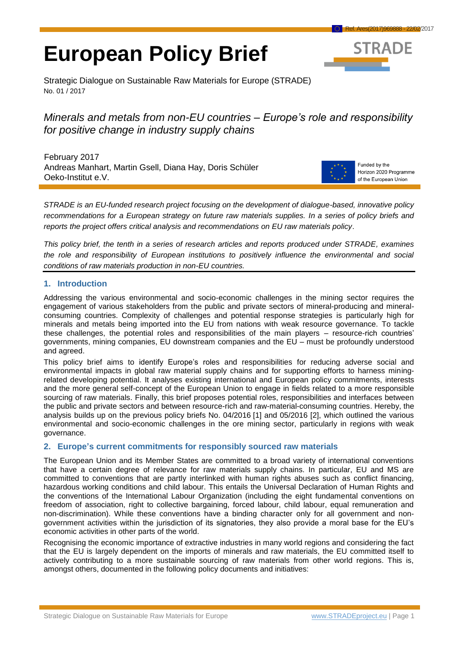# **European Policy Brief**



Strategic Dialogue on Sustainable Raw Materials for Europe (STRADE) No. 01 / 2017

# *Minerals and metals from non-EU countries – Europe's role and responsibility for positive change in industry supply chains*

February 2017 Andreas Manhart, Martin Gsell, Diana Hay, Doris Schüler Oeko-Institut e.V.



Funded by the Horizon 2020 Programme of the European Union

*STRADE is an EU-funded research project focusing on the development of dialogue-based, innovative policy recommendations for a European strategy on future raw materials supplies. In a series of policy briefs and reports the project offers critical analysis and recommendations on EU raw materials policy*.

*This policy brief, the tenth in a series of research articles and reports produced under STRADE, examines the role and responsibility of European institutions to positively influence the environmental and social conditions of raw materials production in non-EU countries.*

## **1. Introduction**

Addressing the various environmental and socio-economic challenges in the mining sector requires the engagement of various stakeholders from the public and private sectors of mineral-producing and mineralconsuming countries. Complexity of challenges and potential response strategies is particularly high for minerals and metals being imported into the EU from nations with weak resource governance. To tackle these challenges, the potential roles and responsibilities of the main players – resource-rich countries' governments, mining companies, EU downstream companies and the EU – must be profoundly understood and agreed.

This policy brief aims to identify Europe's roles and responsibilities for reducing adverse social and environmental impacts in global raw material supply chains and for supporting efforts to harness miningrelated developing potential. It analyses existing international and European policy commitments, interests and the more general self-concept of the European Union to engage in fields related to a more responsible sourcing of raw materials. Finally, this brief proposes potential roles, responsibilities and interfaces between the public and private sectors and between resource-rich and raw-material-consuming countries. Hereby, the analysis builds up on the previous policy briefs No. 04/2016 [1] and 05/2016 [2], which outlined the various environmental and socio-economic challenges in the ore mining sector, particularly in regions with weak governance.

## <span id="page-0-0"></span>**2. Europe's current commitments for responsibly sourced raw materials**

The European Union and its Member States are committed to a broad variety of international conventions that have a certain degree of relevance for raw materials supply chains. In particular, EU and MS are committed to conventions that are partly interlinked with human rights abuses such as conflict financing, hazardous working conditions and child labour. This entails the Universal Declaration of Human Rights and the conventions of the International Labour Organization (including the eight fundamental conventions on freedom of association, right to collective bargaining, forced labour, child labour, equal remuneration and non-discrimination). While these conventions have a binding character only for all government and nongovernment activities within the jurisdiction of its signatories, they also provide a moral base for the EU's economic activities in other parts of the world.

Recognising the economic importance of extractive industries in many world regions and considering the fact that the EU is largely dependent on the imports of minerals and raw materials, the EU committed itself to actively contributing to a more sustainable sourcing of raw materials from other world regions. This is, amongst others, documented in the following policy documents and initiatives: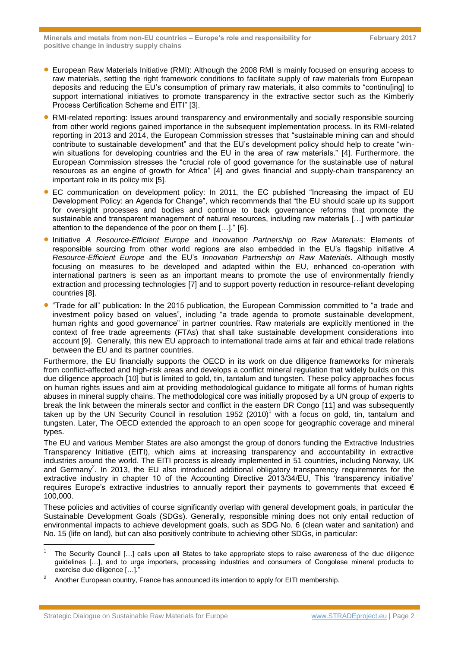- European Raw Materials Initiative (RMI): Although the 2008 RMI is mainly focused on ensuring access to raw materials, setting the right framework conditions to facilitate supply of raw materials from European deposits and reducing the EU's consumption of primary raw materials, it also commits to "continu[ing] to support international initiatives to promote transparency in the extractive sector such as the Kimberly Process Certification Scheme and EITI" [3].
- RMI-related reporting: Issues around transparency and environmentally and socially responsible sourcing from other world regions gained importance in the subsequent implementation process. In its RMI-related reporting in 2013 and 2014, the European Commission stresses that "sustainable mining can and should contribute to sustainable development" and that the EU's development policy should help to create "winwin situations for developing countries and the EU in the area of raw materials." [4]. Furthermore, the European Commission stresses the "crucial role of good governance for the sustainable use of natural resources as an engine of growth for Africa" [4] and gives financial and supply-chain transparency an important role in its policy mix [5].
- EC communication on development policy: In 2011, the EC published "Increasing the impact of EU Development Policy: an Agenda for Change", which recommends that "the EU should scale up its support for oversight processes and bodies and continue to back governance reforms that promote the sustainable and transparent management of natural resources, including raw materials […] with particular attention to the dependence of the poor on them […]." [6].
- Initiative *A Resource-Efficient Europe* and *Innovation Partnership on Raw Materials*: Elements of responsible sourcing from other world regions are also embedded in the EU's flagship initiative *A Resource-Efficient Europe* and the EU's *Innovation Partnership on Raw Materials*. Although mostly focusing on measures to be developed and adapted within the EU, enhanced co-operation with international partners is seen as an important means to promote the use of environmentally friendly extraction and processing technologies [7] and to support poverty reduction in resource-reliant developing countries [8].
- **•** "Trade for all" publication: In the 2015 publication, the European Commission committed to "a trade and investment policy based on values", including "a trade agenda to promote sustainable development, human rights and good governance" in partner countries. Raw materials are explicitly mentioned in the context of free trade agreements (FTAs) that shall take sustainable development considerations into account [9]. Generally, this new EU approach to international trade aims at fair and ethical trade relations between the EU and its partner countries.

Furthermore, the EU financially supports the OECD in its work on due diligence frameworks for minerals from conflict-affected and high-risk areas and develops a conflict mineral regulation that widely builds on this due diligence approach [10] but is limited to gold, tin, tantalum and tungsten. These policy approaches focus on human rights issues and aim at providing methodological guidance to mitigate all forms of human rights abuses in mineral supply chains. The methodological core was initially proposed by a UN group of experts to break the link between the minerals sector and conflict in the eastern DR Congo [11] and was subsequently taken up by the UN Security Council in resolution 1952  $(2010)^1$  with a focus on gold, tin, tantalum and tungsten. Later, The OECD extended the approach to an open scope for geographic coverage and mineral types.

The EU and various Member States are also amongst the group of donors funding the Extractive Industries Transparency Initiative (EITI), which aims at increasing transparency and accountability in extractive industries around the world. The EITI process is already implemented in 51 countries, including Norway, UK and Germany<sup>2</sup>. In 2013, the EU also introduced additional obligatory transparency requirements for the extractive industry in chapter 10 of the Accounting Directive 2013/34/EU, This 'transparency initiative' requires Europe's extractive industries to annually report their payments to governments that exceed € 100,000.

These policies and activities of course significantly overlap with general development goals, in particular the Sustainable Development Goals (SDGs). Generally, responsible mining does not only entail reduction of environmental impacts to achieve development goals, such as SDG No. 6 (clean water and sanitation) and No. 15 (life on land), but can also positively contribute to achieving other SDGs, in particular:

l

<sup>1</sup> The Security Council […] calls upon all States to take appropriate steps to raise awareness of the due diligence guidelines […], and to urge importers, processing industries and consumers of Congolese mineral products to exercise due diligence […]."

<sup>2</sup> Another European country, France has announced its intention to apply for EITI membership.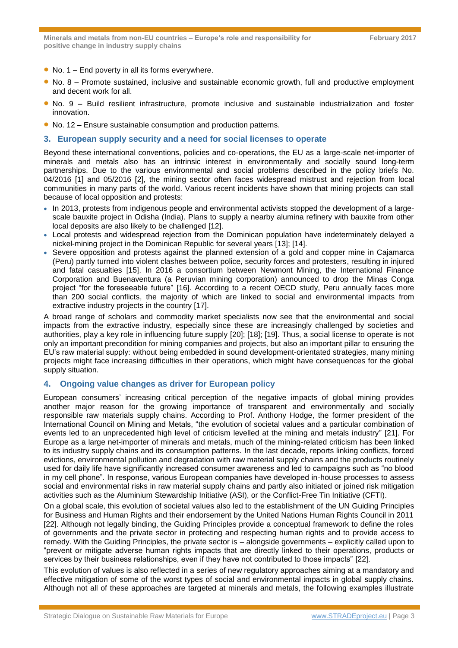- $\bullet$  No. 1 End poverty in all its forms everywhere.
- No. 8 Promote sustained, inclusive and sustainable economic growth, full and productive employment and decent work for all.
- No. 9 Build resilient infrastructure, promote inclusive and sustainable industrialization and foster innovation.
- No. 12 Ensure sustainable consumption and production patterns.
- **3. European supply security and a need for social licenses to operate**

Beyond these international conventions, policies and co-operations, the EU as a large-scale net-importer of minerals and metals also has an intrinsic interest in environmentally and socially sound long-term partnerships. Due to the various environmental and social problems described in the policy briefs No. 04/2016 [1] and 05/2016 [2], the mining sector often faces widespread mistrust and rejection from local communities in many parts of the world. Various recent incidents have shown that mining projects can stall because of local opposition and protests:

- In 2013, protests from indigenous people and environmental activists stopped the development of a largescale bauxite project in Odisha (India). Plans to supply a nearby alumina refinery with bauxite from other local deposits are also likely to be challenged [12].
- Local protests and widespread rejection from the Dominican population have indeterminately delayed a nickel-mining project in the Dominican Republic for several years [13]; [14].
- Severe opposition and protests against the planned extension of a gold and copper mine in Caiamarca (Peru) partly turned into violent clashes between police, security forces and protesters, resulting in injured and fatal casualties [15]. In 2016 a consortium between Newmont Mining, the International Finance Corporation and Buenaventura (a Peruvian mining corporation) announced to drop the Minas Conga project "for the foreseeable future" [16]. According to a recent OECD study, Peru annually faces more than 200 social conflicts, the majority of which are linked to social and environmental impacts from extractive industry projects in the country [17].

A broad range of scholars and commodity market specialists now see that the environmental and social impacts from the extractive industry, especially since these are increasingly challenged by societies and authorities, play a key role in influencing future supply [20]; [18]; [19]. Thus, a social license to operate is not only an important precondition for mining companies and projects, but also an important pillar to ensuring the EU's raw material supply: without being embedded in sound development-orientated strategies, many mining projects might face increasing difficulties in their operations, which might have consequences for the global supply situation.

## <span id="page-2-0"></span>**4. Ongoing value changes as driver for European policy**

European consumers' increasing critical perception of the negative impacts of global mining provides another major reason for the growing importance of transparent and environmentally and socially responsible raw materials supply chains. According to Prof. Anthony Hodge, the former president of the International Council on Mining and Metals, "the evolution of societal values and a particular combination of events led to an unprecedented high level of criticism levelled at the mining and metals industry" [21]. For Europe as a large net-importer of minerals and metals, much of the mining-related criticism has been linked to its industry supply chains and its consumption patterns. In the last decade, reports linking conflicts, forced evictions, environmental pollution and degradation with raw material supply chains and the products routinely used for daily life have significantly increased consumer awareness and led to campaigns such as "no blood in my cell phone". In response, various European companies have developed in-house processes to assess social and environmental risks in raw material supply chains and partly also initiated or joined risk mitigation activities such as the Aluminium Stewardship Initiative (ASI), or the Conflict-Free Tin Initiative (CFTI).

On a global scale, this evolution of societal values also led to the establishment of the UN Guiding Principles for Business and Human Rights and their endorsement by the United Nations Human Rights Council in 2011 [22]. Although not legally binding, the Guiding Principles provide a conceptual framework to define the roles of governments and the private sector in protecting and respecting human rights and to provide access to remedy. With the Guiding Principles, the private sector is – alongside governments – explicitly called upon to "prevent or mitigate adverse human rights impacts that are directly linked to their operations, products or services by their business relationships, even if they have not contributed to those impacts" [22].

This evolution of values is also reflected in a series of new regulatory approaches aiming at a mandatory and effective mitigation of some of the worst types of social and environmental impacts in global supply chains. Although not all of these approaches are targeted at minerals and metals, the following examples illustrate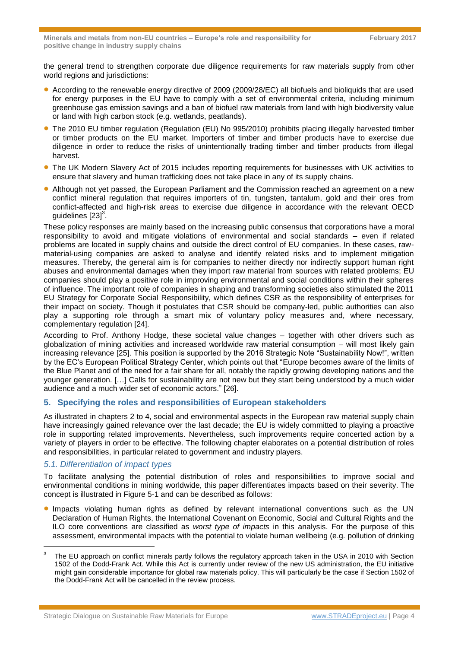the general trend to strengthen corporate due diligence requirements for raw materials supply from other world regions and jurisdictions:

- According to the renewable energy directive of 2009 (2009/28/EC) all biofuels and bioliquids that are used for energy purposes in the EU have to comply with a set of environmental criteria, including minimum greenhouse gas emission savings and a ban of biofuel raw materials from land with high biodiversity value or land with high carbon stock (e.g. wetlands, peatlands).
- The 2010 EU timber regulation (Regulation (EU) No 995/2010) prohibits placing illegally harvested timber or timber products on the EU market. Importers of timber and timber products have to exercise due diligence in order to reduce the risks of unintentionally trading timber and timber products from illegal harvest.
- The UK Modern Slavery Act of 2015 includes reporting requirements for businesses with UK activities to ensure that slavery and human trafficking does not take place in any of its supply chains.
- Although not yet passed, the European Parliament and the Commission reached an agreement on a new conflict mineral regulation that requires importers of tin, tungsten, tantalum, gold and their ores from conflict-affected and high-risk areas to exercise due diligence in accordance with the relevant OECD guidelines  $[23]^3$ .

These policy responses are mainly based on the increasing public consensus that corporations have a moral responsibility to avoid and mitigate violations of environmental and social standards – even if related problems are located in supply chains and outside the direct control of EU companies. In these cases, rawmaterial-using companies are asked to analyse and identify related risks and to implement mitigation measures. Thereby, the general aim is for companies to neither directly nor indirectly support human right abuses and environmental damages when they import raw material from sources with related problems; EU companies should play a positive role in improving environmental and social conditions within their spheres of influence. The important role of companies in shaping and transforming societies also stimulated the 2011 EU Strategy for Corporate Social Responsibility, which defines CSR as the responsibility of enterprises for their impact on society. Though it postulates that CSR should be company-led, public authorities can also play a supporting role through a smart mix of voluntary policy measures and, where necessary, complementary regulation [24].

According to Prof. Anthony Hodge, these societal value changes – together with other drivers such as globalization of mining activities and increased worldwide raw material consumption – will most likely gain increasing relevance [25]. This position is supported by the 2016 Strategic Note "Sustainability Now!", written by the EC's European Political Strategy Center, which points out that "Europe becomes aware of the limits of the Blue Planet and of the need for a fair share for all, notably the rapidly growing developing nations and the younger generation. […] Calls for sustainability are not new but they start being understood by a much wider audience and a much wider set of economic actors." [26].

## **5. Specifying the roles and responsibilities of European stakeholders**

As illustrated in chapters [2](#page-0-0) to [4,](#page-2-0) social and environmental aspects in the European raw material supply chain have increasingly gained relevance over the last decade; the EU is widely committed to playing a proactive role in supporting related improvements. Nevertheless, such improvements require concerted action by a variety of players in order to be effective. The following chapter elaborates on a potential distribution of roles and responsibilities, in particular related to government and industry players.

#### *5.1. Differentiation of impact types*

l

To facilitate analysing the potential distribution of roles and responsibilities to improve social and environmental conditions in mining worldwide, this paper differentiates impacts based on their severity. The concept is illustrated in [Figure 5-1](#page-4-0) and can be described as follows:

**Impacts violating human rights as defined by relevant international conventions such as the UN** Declaration of Human Rights, the International Covenant on Economic, Social and Cultural Rights and the ILO core conventions are classified as *worst type of impacts* in this analysis. For the purpose of this assessment, environmental impacts with the potential to violate human wellbeing (e.g. pollution of drinking

<sup>3</sup> The EU approach on conflict minerals partly follows the regulatory approach taken in the USA in 2010 with Section 1502 of the Dodd-Frank Act. While this Act is currently under review of the new US administration, the EU initiative might gain considerable importance for global raw materials policy. This will particularly be the case if Section 1502 of the Dodd-Frank Act will be cancelled in the review process.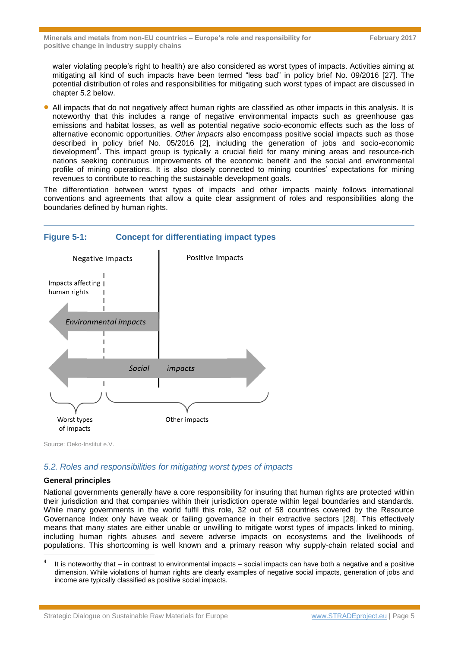water violating people's right to health) are also considered as worst types of impacts. Activities aiming at mitigating all kind of such impacts have been termed "less bad" in policy brief No. 09/2016 [27]. The potential distribution of roles and responsibilities for mitigating such worst types of impact are discussed in chapter [5.2](#page-4-1) below.

 All impacts that do not negatively affect human rights are classified as other impacts in this analysis. It is noteworthy that this includes a range of negative environmental impacts such as greenhouse gas emissions and habitat losses, as well as potential negative socio-economic effects such as the loss of alternative economic opportunities. *Other impacts* also encompass positive social impacts such as those described in policy brief No. 05/2016 [2], including the generation of jobs and socio-economic development<sup>4</sup>. This impact group is typically a crucial field for many mining areas and resource-rich nations seeking continuous improvements of the economic benefit and the social and environmental profile of mining operations. It is also closely connected to mining countries' expectations for mining revenues to contribute to reaching the sustainable development goals.

The differentiation between worst types of impacts and other impacts mainly follows international conventions and agreements that allow a quite clear assignment of roles and responsibilities along the boundaries defined by human rights.

## <span id="page-4-0"></span>**Figure 5-1: Concept for differentiating impact types**



## <span id="page-4-1"></span>*5.2. Roles and responsibilities for mitigating worst types of impacts*

#### **General principles**

National governments generally have a core responsibility for insuring that human rights are protected within their jurisdiction and that companies within their jurisdiction operate within legal boundaries and standards. While many governments in the world fulfil this role, 32 out of 58 countries covered by the Resource Governance Index only have weak or failing governance in their extractive sectors [28]. This effectively means that many states are either unable or unwilling to mitigate worst types of impacts linked to mining, including human rights abuses and severe adverse impacts on ecosystems and the livelihoods of populations. This shortcoming is well known and a primary reason why supply-chain related social and l

<sup>4</sup> It is noteworthy that – in contrast to environmental impacts – social impacts can have both a negative and a positive dimension. While violations of human rights are clearly examples of negative social impacts, generation of jobs and income are typically classified as positive social impacts.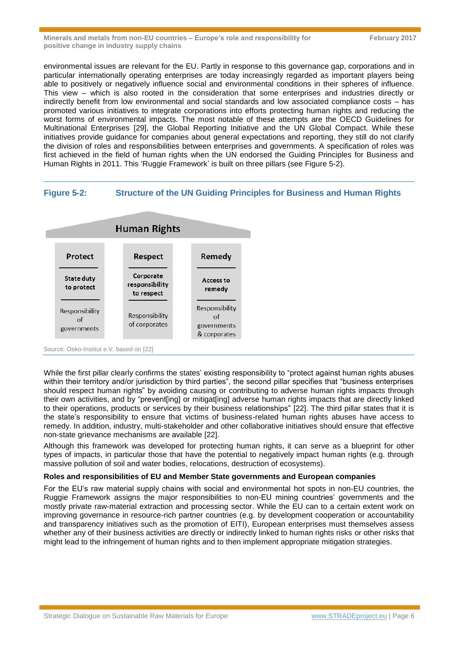environmental issues are relevant for the EU. Partly in response to this governance gap, corporations and in particular internationally operating enterprises are today increasingly regarded as important players being able to positively or negatively influence social and environmental conditions in their spheres of influence. This view – which is also rooted in the consideration that some enterprises and industries directly or indirectly benefit from low environmental and social standards and low associated compliance costs – has promoted various initiatives to integrate corporations into efforts protecting human rights and reducing the worst forms of environmental impacts. The most notable of these attempts are the OECD Guidelines for Multinational Enterprises [29], the Global Reporting Initiative and the UN Global Compact. While these initiatives provide guidance for companies about general expectations and reporting, they still do not clarify the division of roles and responsibilities between enterprises and governments. A specification of roles was first achieved in the field of human rights when the UN endorsed the Guiding Principles for Business and Human Rights in 2011. This 'Ruggie Framework' is built on three pillars (see [Figure 5-2\)](#page-5-0).

## <span id="page-5-0"></span>**Figure 5-2: Structure of the UN Guiding Principles for Business and Human Rights**



Source: Oeko-Institut e.V. based on [22]

While the first pillar clearly confirms the states' existing responsibility to "protect against human rights abuses within their territory and/or jurisdiction by third parties", the second pillar specifies that "business enterprises" should respect human rights" by avoiding causing or contributing to adverse human rights impacts through their own activities, and by "prevent[ing] or mitigat[ing] adverse human rights impacts that are directly linked to their operations, products or services by their business relationships" [22]. The third pillar states that it is the state's responsibility to ensure that victims of business-related human rights abuses have access to remedy. In addition, industry, multi-stakeholder and other collaborative initiatives should ensure that effective non-state grievance mechanisms are available [22].

Although this framework was developed for protecting human rights, it can serve as a blueprint for other types of impacts, in particular those that have the potential to negatively impact human rights (e.g. through massive pollution of soil and water bodies, relocations, destruction of ecosystems).

#### **Roles and responsibilities of EU and Member State governments and European companies**

For the EU's raw material supply chains with social and environmental hot spots in non-EU countries, the Ruggie Framework assigns the major responsibilities to non-EU mining countries' governments and the mostly private raw-material extraction and processing sector. While the EU can to a certain extent work on improving governance in resource-rich partner countries (e.g. by development cooperation or accountability and transparency initiatives such as the promotion of EITI), European enterprises must themselves assess whether any of their business activities are directly or indirectly linked to human rights risks or other risks that might lead to the infringement of human rights and to then implement appropriate mitigation strategies.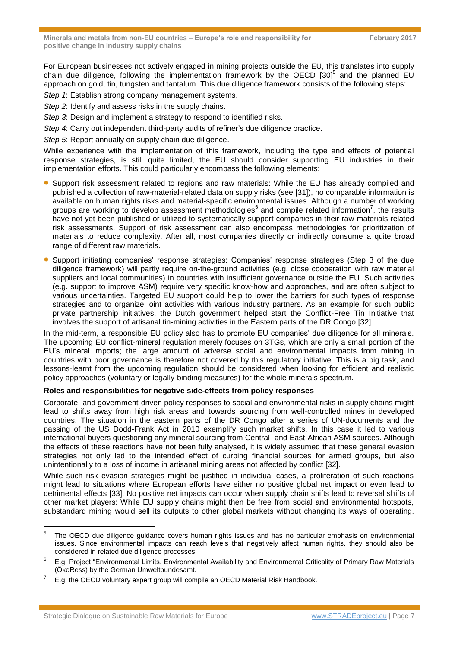For European businesses not actively engaged in mining projects outside the EU, this translates into supply chain due diligence, following the implementation framework by the OECD  $[30]$ <sup>5</sup> and the planned EU approach on gold, tin, tungsten and tantalum. This due diligence framework consists of the following steps:

*Step 1*: Establish strong company management systems.

*Step 2*: Identify and assess risks in the supply chains.

*Step 3*: Design and implement a strategy to respond to identified risks.

*Step 4*: Carry out independent third-party audits of refiner's due diligence practice.

*Step 5*: Report annually on supply chain due diligence.

While experience with the implementation of this framework, including the type and effects of potential response strategies, is still quite limited, the EU should consider supporting EU industries in their implementation efforts. This could particularly encompass the following elements:

- **Support risk assessment related to regions and raw materials: While the EU has already compiled and** published a collection of raw-material-related data on supply risks (see [31]), no comparable information is available on human rights risks and material-specific environmental issues. Although a number of working groups are working to develop assessment methodologies<sup>6</sup> and compile related information<sup>7</sup>, the results have not yet been published or utilized to systematically support companies in their raw-materials-related risk assessments. Support of risk assessment can also encompass methodologies for prioritization of materials to reduce complexity. After all, most companies directly or indirectly consume a quite broad range of different raw materials.
- Support initiating companies' response strategies: Companies' response strategies (Step 3 of the due diligence framework) will partly require on-the-ground activities (e.g. close cooperation with raw material suppliers and local communities) in countries with insufficient governance outside the EU. Such activities (e.g. support to improve ASM) require very specific know-how and approaches, and are often subject to various uncertainties. Targeted EU support could help to lower the barriers for such types of response strategies and to organize joint activities with various industry partners. As an example for such public private partnership initiatives, the Dutch government helped start the Conflict-Free Tin Initiative that involves the support of artisanal tin-mining activities in the Eastern parts of the DR Congo [32].

In the mid-term, a responsible EU policy also has to promote EU companies' due diligence for all minerals. The upcoming EU conflict-mineral regulation merely focuses on 3TGs, which are only a small portion of the EU's mineral imports; the large amount of adverse social and environmental impacts from mining in countries with poor governance is therefore not covered by this regulatory initiative. This is a big task, and lessons-learnt from the upcoming regulation should be considered when looking for efficient and realistic policy approaches (voluntary or legally-binding measures) for the whole minerals spectrum.

## **Roles and responsibilities for negative side-effects from policy responses**

Corporate- and government-driven policy responses to social and environmental risks in supply chains might lead to shifts away from high risk areas and towards sourcing from well-controlled mines in developed countries. The situation in the eastern parts of the DR Congo after a series of UN-documents and the passing of the US Dodd-Frank Act in 2010 exemplify such market shifts. In this case it led to various international buyers questioning any mineral sourcing from Central- and East-African ASM sources. Although the effects of these reactions have not been fully analysed, it is widely assumed that these general evasion strategies not only led to the intended effect of curbing financial sources for armed groups, but also unintentionally to a loss of income in artisanal mining areas not affected by conflict [32].

While such risk evasion strategies might be justified in individual cases, a proliferation of such reactions might lead to situations where European efforts have either no positive global net impact or even lead to detrimental effects [33]. No positive net impacts can occur when supply chain shifts lead to reversal shifts of other market players: While EU supply chains might then be free from social and environmental hotspots, substandard mining would sell its outputs to other global markets without changing its ways of operating.

l

<sup>5</sup> The OECD due diligence guidance covers human rights issues and has no particular emphasis on environmental issues. Since environmental impacts can reach levels that negatively affect human rights, they should also be considered in related due diligence processes.

<sup>6</sup> E.g. Project "Environmental Limits, Environmental Availability and Environmental Criticality of Primary Raw Materials (ÖkoRess) by the German Umweltbundesamt.

<sup>7</sup> E.g. the OECD voluntary expert group will compile an OECD Material Risk Handbook.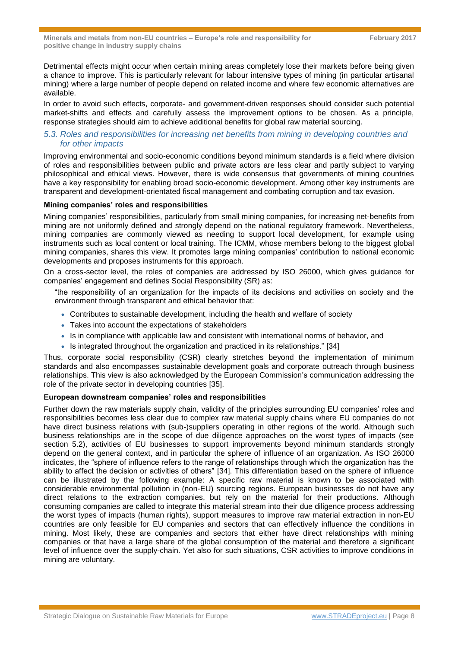Detrimental effects might occur when certain mining areas completely lose their markets before being given a chance to improve. This is particularly relevant for labour intensive types of mining (in particular artisanal mining) where a large number of people depend on related income and where few economic alternatives are available.

In order to avoid such effects, corporate- and government-driven responses should consider such potential market-shifts and effects and carefully assess the improvement options to be chosen. As a principle, response strategies should aim to achieve additional benefits for global raw material sourcing.

## *5.3. Roles and responsibilities for increasing net benefits from mining in developing countries and for other impacts*

Improving environmental and socio-economic conditions beyond minimum standards is a field where division of roles and responsibilities between public and private actors are less clear and partly subject to varying philosophical and ethical views. However, there is wide consensus that governments of mining countries have a key responsibility for enabling broad socio-economic development. Among other key instruments are transparent and development-orientated fiscal management and combating corruption and tax evasion.

#### **Mining companies' roles and responsibilities**

Mining companies' responsibilities, particularly from small mining companies, for increasing net-benefits from mining are not uniformly defined and strongly depend on the national regulatory framework. Nevertheless, mining companies are commonly viewed as needing to support local development, for example using instruments such as local content or local training. The ICMM, whose members belong to the biggest global mining companies, shares this view. It promotes large mining companies' contribution to national economic developments and proposes instruments for this approach.

On a cross-sector level, the roles of companies are addressed by ISO 26000, which gives guidance for companies' engagement and defines Social Responsibility (SR) as:

"the responsibility of an organization for the impacts of its decisions and activities on society and the environment through transparent and ethical behavior that:

- Contributes to sustainable development, including the health and welfare of society
- Takes into account the expectations of stakeholders
- Is in compliance with applicable law and consistent with international norms of behavior, and
- Is integrated throughout the organization and practiced in its relationships." [34]

Thus, corporate social responsibility (CSR) clearly stretches beyond the implementation of minimum standards and also encompasses sustainable development goals and corporate outreach through business relationships. This view is also acknowledged by the European Commission's communication addressing the role of the private sector in developing countries [35].

#### **European downstream companies' roles and responsibilities**

Further down the raw materials supply chain, validity of the principles surrounding EU companies' roles and responsibilities becomes less clear due to complex raw material supply chains where EU companies do not have direct business relations with (sub-)suppliers operating in other regions of the world. Although such business relationships are in the scope of due diligence approaches on the worst types of impacts (see section [5.2\)](#page-4-1), activities of EU businesses to support improvements beyond minimum standards strongly depend on the general context, and in particular the sphere of influence of an organization. As ISO 26000 indicates, the "sphere of influence refers to the range of relationships through which the organization has the ability to affect the decision or activities of others" [34]. This differentiation based on the sphere of influence can be illustrated by the following example: A specific raw material is known to be associated with considerable environmental pollution in (non-EU) sourcing regions. European businesses do not have any direct relations to the extraction companies, but rely on the material for their productions. Although consuming companies are called to integrate this material stream into their due diligence process addressing the worst types of impacts (human rights), support measures to improve raw material extraction in non-EU countries are only feasible for EU companies and sectors that can effectively influence the conditions in mining. Most likely, these are companies and sectors that either have direct relationships with mining companies or that have a large share of the global consumption of the material and therefore a significant level of influence over the supply-chain. Yet also for such situations, CSR activities to improve conditions in mining are voluntary.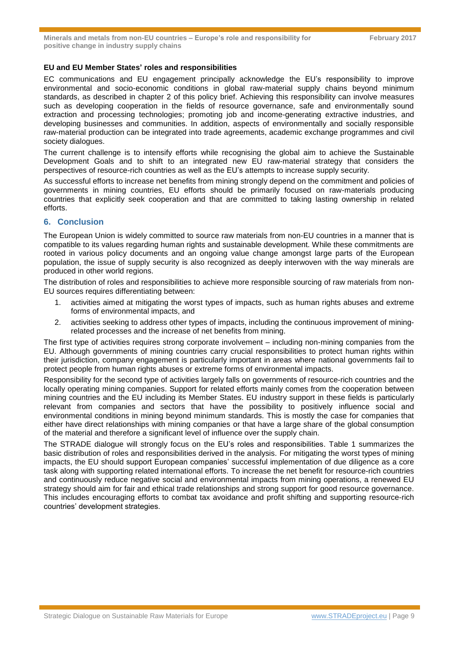#### **EU and EU Member States' roles and responsibilities**

EC communications and EU engagement principally acknowledge the EU's responsibility to improve environmental and socio-economic conditions in global raw-material supply chains beyond minimum standards, as described in chapter [2](#page-0-0) of this policy brief. Achieving this responsibility can involve measures such as developing cooperation in the fields of resource governance, safe and environmentally sound extraction and processing technologies; promoting job and income-generating extractive industries, and developing businesses and communities. In addition, aspects of environmentally and socially responsible raw-material production can be integrated into trade agreements, academic exchange programmes and civil society dialogues.

The current challenge is to intensify efforts while recognising the global aim to achieve the Sustainable Development Goals and to shift to an integrated new EU raw-material strategy that considers the perspectives of resource-rich countries as well as the EU's attempts to increase supply security.

As successful efforts to increase net benefits from mining strongly depend on the commitment and policies of governments in mining countries, EU efforts should be primarily focused on raw-materials producing countries that explicitly seek cooperation and that are committed to taking lasting ownership in related efforts.

## **6. Conclusion**

The European Union is widely committed to source raw materials from non-EU countries in a manner that is compatible to its values regarding human rights and sustainable development. While these commitments are rooted in various policy documents and an ongoing value change amongst large parts of the European population, the issue of supply security is also recognized as deeply interwoven with the way minerals are produced in other world regions.

The distribution of roles and responsibilities to achieve more responsible sourcing of raw materials from non-EU sources requires differentiating between:

- 1. activities aimed at mitigating the worst types of impacts, such as human rights abuses and extreme forms of environmental impacts, and
- 2. activities seeking to address other types of impacts, including the continuous improvement of miningrelated processes and the increase of net benefits from mining.

The first type of activities requires strong corporate involvement – including non-mining companies from the EU. Although governments of mining countries carry crucial responsibilities to protect human rights within their jurisdiction, company engagement is particularly important in areas where national governments fail to protect people from human rights abuses or extreme forms of environmental impacts.

Responsibility for the second type of activities largely falls on governments of resource-rich countries and the locally operating mining companies. Support for related efforts mainly comes from the cooperation between mining countries and the EU including its Member States. EU industry support in these fields is particularly relevant from companies and sectors that have the possibility to positively influence social and environmental conditions in mining beyond minimum standards. This is mostly the case for companies that either have direct relationships with mining companies or that have a large share of the global consumption of the material and therefore a significant level of influence over the supply chain.

The STRADE dialogue will strongly focus on the EU's roles and responsibilities. [Table 1](#page-9-0) summarizes the basic distribution of roles and responsibilities derived in the analysis. For mitigating the worst types of mining impacts, the EU should support European companies' successful implementation of due diligence as a core task along with supporting related international efforts. To increase the net benefit for resource-rich countries and continuously reduce negative social and environmental impacts from mining operations, a renewed EU strategy should aim for fair and ethical trade relationships and strong support for good resource governance. This includes encouraging efforts to combat tax avoidance and profit shifting and supporting resource-rich countries' development strategies.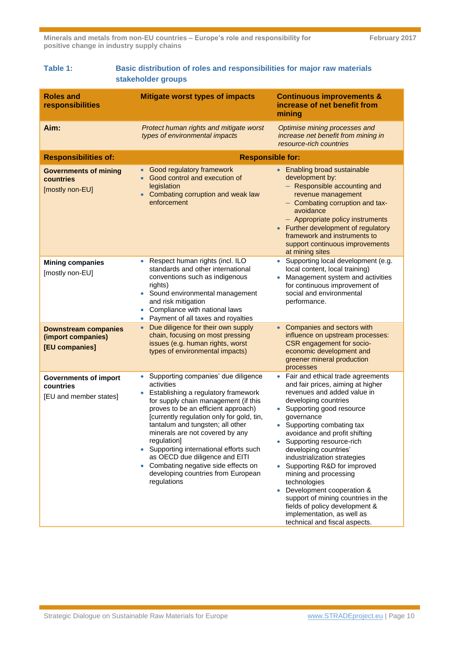<span id="page-9-0"></span>

| Table 1: I | Basic distribution of roles and responsibilities for major raw materials |
|------------|--------------------------------------------------------------------------|
|            | stakeholder groups                                                       |

| <b>Roles and</b><br>responsibilities                                | <b>Mitigate worst types of impacts</b>                                                                                                                                                                                                                                                                                                                                                                                                                                                          | <b>Continuous improvements &amp;</b><br>increase of net benefit from<br>mining                                                                                                                                                                                                                                                                                                                                                                                                                                                                                                     |
|---------------------------------------------------------------------|-------------------------------------------------------------------------------------------------------------------------------------------------------------------------------------------------------------------------------------------------------------------------------------------------------------------------------------------------------------------------------------------------------------------------------------------------------------------------------------------------|------------------------------------------------------------------------------------------------------------------------------------------------------------------------------------------------------------------------------------------------------------------------------------------------------------------------------------------------------------------------------------------------------------------------------------------------------------------------------------------------------------------------------------------------------------------------------------|
| Aim:                                                                | Protect human rights and mitigate worst<br>types of environmental impacts                                                                                                                                                                                                                                                                                                                                                                                                                       | Optimise mining processes and<br>increase net benefit from mining in<br>resource-rich countries                                                                                                                                                                                                                                                                                                                                                                                                                                                                                    |
| <b>Responsibilities of:</b>                                         | <b>Responsible for:</b>                                                                                                                                                                                                                                                                                                                                                                                                                                                                         |                                                                                                                                                                                                                                                                                                                                                                                                                                                                                                                                                                                    |
| <b>Governments of mining</b><br>countries<br>[mostly non-EU]        | Good regulatory framework<br>Good control and execution of<br>$\bullet$<br>legislation<br>• Combating corruption and weak law<br>enforcement                                                                                                                                                                                                                                                                                                                                                    | • Enabling broad sustainable<br>development by:<br>- Responsible accounting and<br>revenue management<br>- Combating corruption and tax-<br>avoidance<br>- Appropriate policy instruments<br>• Further development of regulatory<br>framework and instruments to<br>support continuous improvements<br>at mining sites                                                                                                                                                                                                                                                             |
| <b>Mining companies</b><br>[mostly non-EU]                          | Respect human rights (incl. ILO<br>$\bullet$<br>standards and other international<br>conventions such as indigenous<br>rights)<br>Sound environmental management<br>and risk mitigation<br>Compliance with national laws<br>Payment of all taxes and royalties<br>$\bullet$                                                                                                                                                                                                                     | Supporting local development (e.g.<br>$\bullet$<br>local content, local training)<br>Management system and activities<br>$\bullet$<br>for continuous improvement of<br>social and environmental<br>performance.                                                                                                                                                                                                                                                                                                                                                                    |
| <b>Downstream companies</b><br>(import companies)<br>[EU companies] | Due diligence for their own supply<br>$\bullet$<br>chain, focusing on most pressing<br>issues (e.g. human rights, worst<br>types of environmental impacts)                                                                                                                                                                                                                                                                                                                                      | Companies and sectors with<br>influence on upstream processes:<br>CSR engagement for socio-<br>economic development and<br>greener mineral production<br>processes                                                                                                                                                                                                                                                                                                                                                                                                                 |
| <b>Governments of import</b><br>countries<br>[EU and member states] | Supporting companies' due diligence<br>$\bullet$<br>activities<br>Establishing a regulatory framework<br>for supply chain management (if this<br>proves to be an efficient approach)<br>[currently regulation only for gold, tin,<br>tantalum and tungsten; all other<br>minerals are not covered by any<br>regulation]<br>Supporting international efforts such<br>as OECD due diligence and EITI<br>• Combating negative side effects on<br>developing countries from European<br>regulations | Fair and ethical trade agreements<br>$\bullet$<br>and fair prices, aiming at higher<br>revenues and added value in<br>developing countries<br>Supporting good resource<br>governance<br>Supporting combating tax<br>avoidance and profit shifting<br>Supporting resource-rich<br>developing countries'<br>industrialization strategies<br>Supporting R&D for improved<br>mining and processing<br>technologies<br>Development cooperation &<br>support of mining countries in the<br>fields of policy development &<br>implementation, as well as<br>technical and fiscal aspects. |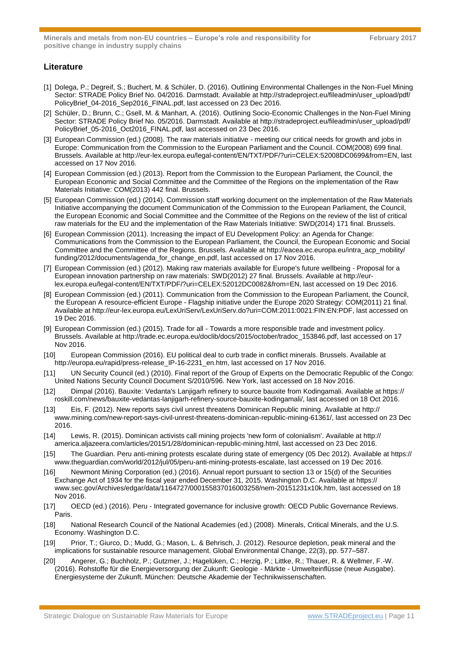## **Literature**

- [1] Dolega, P.; Degreif, S.; Buchert, M. & Schüler, D. (2016). Outlining Environmental Challenges in the Non-Fuel Mining Sector: STRADE Policy Brief No. 04/2016. Darmstadt. Available at http://stradeproject.eu/fileadmin/user\_upload/pdf/ PolicyBrief\_04-2016\_Sep2016\_FINAL.pdf, last accessed on 23 Dec 2016.
- [2] Schüler, D.; Brunn, C.; Gsell, M. & Manhart, A. (2016). Outlining Socio-Economic Challenges in the Non-Fuel Mining Sector: STRADE Policy Brief No. 05/2016. Darmstadt. Available at http://stradeproject.eu/fileadmin/user\_upload/pdf/ PolicyBrief\_05-2016\_Oct2016\_FINAL.pdf, last accessed on 23 Dec 2016.
- [3] European Commission (ed.) (2008). The raw materials initiative meeting our critical needs for growth and jobs in Europe: Communication from the Commission to the European Parliament and the Council. COM(2008) 699 final. Brussels. Available at http://eur-lex.europa.eu/legal-content/EN/TXT/PDF/?uri=CELEX:52008DC0699&from=EN, last accessed on 17 Nov 2016.
- [4] European Commission (ed.) (2013). Report from the Commission to the European Parliament, the Council, the European Economic and Social Committee and the Committee of the Regions on the implementation of the Raw Materials Initiative: COM(2013) 442 final. Brussels.
- [5] European Commission (ed.) (2014). Commission staff working document on the implementation of the Raw Materials Initiative accompanying the document Communication of the Commission to the European Parliament, the Council, the European Economic and Social Committee and the Committee of the Regions on the review of the list of critical raw materials for the EU and the implementation of the Raw Materials Initiative: SWD(2014) 171 final. Brussels.
- [6] European Commission (2011). Increasing the impact of EU Development Policy: an Agenda for Change: Communications from the Commission to the European Parliament, the Council, the European Economic and Social Committee and the Committee of the Regions. Brussels. Available at http://eacea.ec.europa.eu/intra\_acp\_mobility/ funding/2012/documents/agenda\_for\_change\_en.pdf, last accessed on 17 Nov 2016.
- [7] European Commission (ed.) (2012). Making raw materials available for Europe's future wellbeing Proposal for a European innovation partnership on raw materials: SWD(2012) 27 final. Brussels. Available at http://eurlex.europa.eu/legal-content/EN/TXT/PDF/?uri=CELEX:52012DC0082&from=EN, last accessed on 19 Dec 2016.
- [8] European Commission (ed.) (2011). Communication from the Commission to the European Parliament, the Council, the European A resource-efficient Europe - Flagship initiative under the Europe 2020 Strategy: COM(2011) 21 final. Available at http://eur-lex.europa.eu/LexUriServ/LexUriServ.do?uri=COM:2011:0021:FIN:EN:PDF, last accessed on 19 Dec 2016.
- [9] European Commission (ed.) (2015). Trade for all Towards a more responsible trade and investment policy. Brussels. Available at http://trade.ec.europa.eu/doclib/docs/2015/october/tradoc\_153846.pdf, last accessed on 17 Nov 2016.
- [10] European Commission (2016). EU political deal to curb trade in conflict minerals. Brussels. Available at http://europa.eu/rapid/press-release\_IP-16-2231\_en.htm, last accessed on 17 Nov 2016.
- [11] UN Security Council (ed.) (2010). Final report of the Group of Experts on the Democratic Republic of the Congo: United Nations Security Council Document S/2010/596. New York, last accessed on 18 Nov 2016.
- [12] Dimpal (2016). Bauxite: Vedanta's Lanjigarh refinery to source bauxite from Kodingamali. Available at https:// roskill.com/news/bauxite-vedantas-lanjigarh-refinery-source-bauxite-kodingamali/, last accessed on 18 Oct 2016.
- [13] Eis, F. (2012). New reports says civil unrest threatens Dominican Republic mining. Available at http:// www.mining.com/new-report-says-civil-unrest-threatens-dominican-republic-mining-61361/, last accessed on 23 Dec 2016.
- [14] Lewis, R. (2015). Dominican activists call mining projects 'new form of colonialism'. Available at http:// america.aljazeera.com/articles/2015/1/28/dominican-republic-mining.html, last accessed on 23 Dec 2016.
- [15] The Guardian. Peru anti-mining protests escalate during state of emergency (05 Dec 2012). Available at https:// www.theguardian.com/world/2012/jul/05/peru-anti-mining-protests-escalate, last accessed on 19 Dec 2016.
- [16] Newmont Mining Corporation (ed.) (2016). Annual report pursuant to section 13 or 15(d) of the Securities Exchange Act of 1934 for the fiscal year ended December 31, 2015. Washington D.C. Available at https:// www.sec.gov/Archives/edgar/data/1164727/000155837016003258/nem-20151231x10k.htm, last accessed on 18 Nov 2016.
- [17] OECD (ed.) (2016). Peru Integrated governance for inclusive growth: OECD Public Governance Reviews. Paris.
- [18] National Research Council of the National Academies (ed.) (2008). Minerals, Critical Minerals, and the U.S. Economy. Washington D.C.
- [19] Prior, T.; Giurco, D.; Mudd, G.; Mason, L. & Behrisch, J. (2012). Resource depletion, peak mineral and the implications for sustainable resource management. Global Environmental Change, 22(3), pp. 577–587.
- [20] Angerer, G.; Buchholz, P.; Gutzmer, J.; Hagelüken, C.; Herzig, P.; Littke, R.; Thauer, R. & Wellmer, F.-W. (2016). Rohstoffe für die Energieversorgung der Zukunft: Geologie - Märkte - Umwelteinflüsse (neue Ausgabe). Energiesysteme der Zukunft. München: Deutsche Akademie der Technikwissenschaften.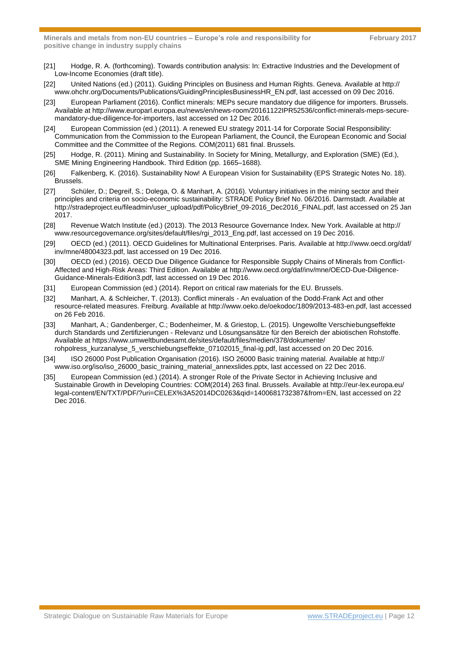- [21] Hodge, R. A. (forthcoming). Towards contribution analysis: In: Extractive Industries and the Development of Low-Income Economies (draft title).
- [22] United Nations (ed.) (2011). Guiding Principles on Business and Human Rights. Geneva. Available at http:// www.ohchr.org/Documents/Publications/GuidingPrinciplesBusinessHR\_EN.pdf, last accessed on 09 Dec 2016.
- [23] European Parliament (2016). Conflict minerals: MEPs secure mandatory due diligence for importers. Brussels. Available at http://www.europarl.europa.eu/news/en/news-room/20161122IPR52536/conflict-minerals-meps-securemandatory-due-diligence-for-importers, last accessed on 12 Dec 2016.
- [24] European Commission (ed.) (2011). A renewed EU strategy 2011-14 for Corporate Social Responsibility: Communication from the Commission to the European Parliament, the Council, the European Economic and Social Committee and the Committee of the Regions. COM(2011) 681 final. Brussels.
- [25] Hodge, R. (2011). Mining and Sustainability. In Society for Mining, Metallurgy, and Exploration (SME) (Ed.), SME Mining Engineering Handbook. Third Edition (pp. 1665–1688).
- [26] Falkenberg, K. (2016). Sustainability Now! A European Vision for Sustainability (EPS Strategic Notes No. 18). **Brussels**
- [27] Schüler, D.; Degreif, S.; Dolega, O. & Manhart, A. (2016). Voluntary initiatives in the mining sector and their principles and criteria on socio-economic sustainability: STRADE Policy Brief No. 06/2016. Darmstadt. Available at http://stradeproject.eu/fileadmin/user\_upload/pdf/PolicyBrief\_09-2016\_Dec2016\_FINAL.pdf, last accessed on 25 Jan 2017.
- [28] Revenue Watch Institute (ed.) (2013). The 2013 Resource Governance Index. New York. Available at http:// www.resourcegovernance.org/sites/default/files/rgi\_2013\_Eng.pdf, last accessed on 19 Dec 2016.
- [29] OECD (ed.) (2011). OECD Guidelines for Multinational Enterprises. Paris. Available at http://www.oecd.org/daf/ inv/mne/48004323.pdf, last accessed on 19 Dec 2016.
- [30] OECD (ed.) (2016). OECD Due Diligence Guidance for Responsible Supply Chains of Minerals from Conflict-Affected and High-Risk Areas: Third Edition. Available at http://www.oecd.org/daf/inv/mne/OECD-Due-Diligence-Guidance-Minerals-Edition3.pdf, last accessed on 19 Dec 2016.
- [31] European Commission (ed.) (2014). Report on critical raw materials for the EU. Brussels.
- [32] Manhart, A. & Schleicher, T. (2013). Conflict minerals An evaluation of the Dodd-Frank Act and other resource-related measures. Freiburg. Available at http://www.oeko.de/oekodoc/1809/2013-483-en.pdf, last accessed on 26 Feb 2016.
- [33] Manhart, A.; Gandenberger, C.; Bodenheimer, M. & Griestop, L. (2015). Ungewollte Verschiebungseffekte durch Standards und Zertifizierungen - Relevanz und Lösungsansätze für den Bereich der abiotischen Rohstoffe. Available at https://www.umweltbundesamt.de/sites/default/files/medien/378/dokumente/ rohpolress\_kurzanalyse\_5\_verschiebungseffekte\_07102015\_final-ig.pdf, last accessed on 20 Dec 2016.
- [34] ISO 26000 Post Publication Organisation (2016). ISO 26000 Basic training material. Available at http:// www.iso.org/iso/iso\_26000\_basic\_training\_material\_annexslides.pptx, last accessed on 22 Dec 2016.
- [35] European Commission (ed.) (2014). A stronger Role of the Private Sector in Achieving Inclusive and Sustainable Growth in Developing Countries: COM(2014) 263 final. Brussels. Available at http://eur-lex.europa.eu/ legal-content/EN/TXT/PDF/?uri=CELEX%3A52014DC0263&qid=1400681732387&from=EN, last accessed on 22 Dec 2016.